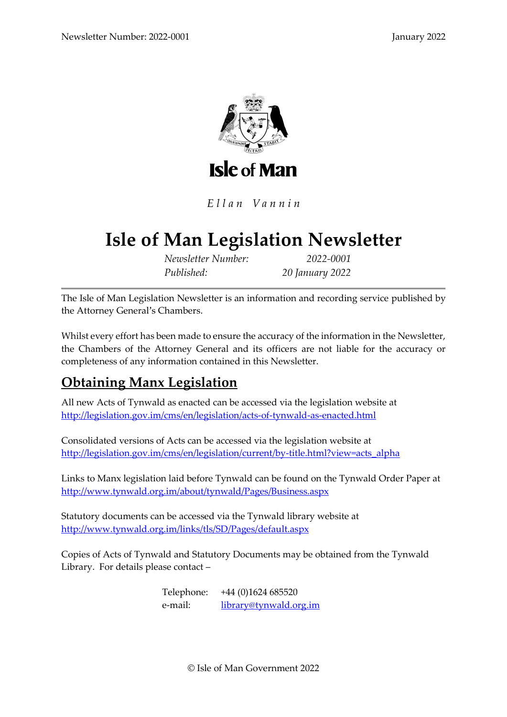

Ellan Vannin

# **Isle of Man Legislation Newsletter**

*Newsletter Number: 2022-0001 Published: 20 January 2022*

The Isle of Man Legislation Newsletter is an information and recording service published by the Attorney General's Chambers.

Whilst every effort has been made to ensure the accuracy of the information in the Newsletter, the Chambers of the Attorney General and its officers are not liable for the accuracy or completeness of any information contained in this Newsletter.

# **Obtaining Manx Legislation**

All new Acts of Tynwald as enacted can be accessed via the legislation website at <http://legislation.gov.im/cms/en/legislation/acts-of-tynwald-as-enacted.html>

Consolidated versions of Acts can be accessed via the legislation website at [http://legislation.gov.im/cms/en/legislation/current/by-title.html?view=acts\\_alpha](http://legislation.gov.im/cms/en/legislation/current/by-title.html?view=acts_alpha)

Links to Manx legislation laid before Tynwald can be found on the Tynwald Order Paper at <http://www.tynwald.org.im/about/tynwald/Pages/Business.aspx>

Statutory documents can be accessed via the Tynwald library website at <http://www.tynwald.org.im/links/tls/SD/Pages/default.aspx>

Copies of Acts of Tynwald and Statutory Documents may be obtained from the Tynwald Library. For details please contact –

> Telephone: +44 (0)1624 685520 e-mail: [library@tynwald.org.im](mailto:library@tynwald.org.im)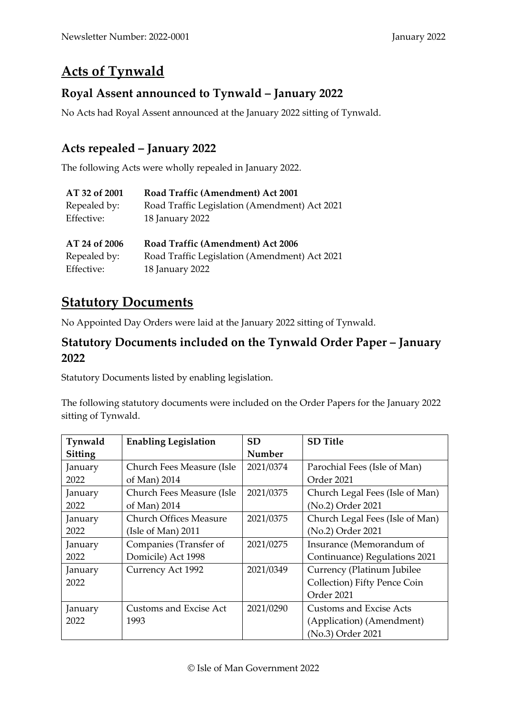# **Acts of Tynwald**

#### **Royal Assent announced to Tynwald – January 2022**

No Acts had Royal Assent announced at the January 2022 sitting of Tynwald.

#### **Acts repealed – January 2022**

The following Acts were wholly repealed in January 2022.

| Road Traffic (Amendment) Act 2001             |
|-----------------------------------------------|
| Road Traffic Legislation (Amendment) Act 2021 |
| 18 January 2022                               |
|                                               |
|                                               |
| Road Traffic (Amendment) Act 2006             |
| Road Traffic Legislation (Amendment) Act 2021 |
|                                               |

### **Statutory Documents**

No Appointed Day Orders were laid at the January 2022 sitting of Tynwald.

#### **Statutory Documents included on the Tynwald Order Paper – January 2022**

Statutory Documents listed by enabling legislation.

The following statutory documents were included on the Order Papers for the January 2022 sitting of Tynwald.

| Tynwald        | <b>Enabling Legislation</b>   | <b>SD</b> | <b>SD</b> Title                 |
|----------------|-------------------------------|-----------|---------------------------------|
| <b>Sitting</b> |                               | Number    |                                 |
| January        | Church Fees Measure (Isle     | 2021/0374 | Parochial Fees (Isle of Man)    |
| 2022           | of Man) 2014                  |           | Order 2021                      |
| January        | Church Fees Measure (Isle     | 2021/0375 | Church Legal Fees (Isle of Man) |
| 2022           | of Man) 2014                  |           | (No.2) Order 2021               |
| January        | <b>Church Offices Measure</b> | 2021/0375 | Church Legal Fees (Isle of Man) |
| 2022           | (Isle of Man) $2011$          |           | (No.2) Order 2021               |
| January        | Companies (Transfer of        | 2021/0275 | Insurance (Memorandum of        |
| 2022           | Domicile) Act 1998            |           | Continuance) Regulations 2021   |
| January        | Currency Act 1992             | 2021/0349 | Currency (Platinum Jubilee      |
| 2022           |                               |           | Collection) Fifty Pence Coin    |
|                |                               |           | Order 2021                      |
| January        | Customs and Excise Act        | 2021/0290 | Customs and Excise Acts         |
| 2022           | 1993                          |           | (Application) (Amendment)       |
|                |                               |           | (No.3) Order 2021               |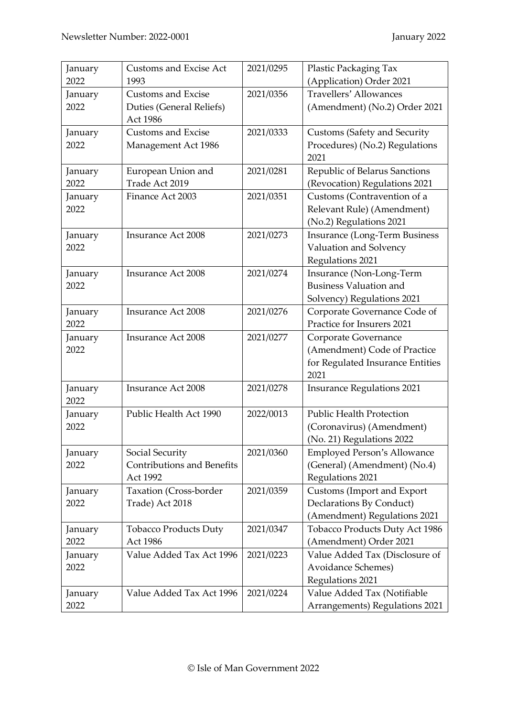| January | <b>Customs and Excise Act</b>     | 2021/0295 | Plastic Packaging Tax                |
|---------|-----------------------------------|-----------|--------------------------------------|
| 2022    | 1993                              |           | (Application) Order 2021             |
| January | <b>Customs and Excise</b>         | 2021/0356 | Travellers' Allowances               |
| 2022    | Duties (General Reliefs)          |           | (Amendment) (No.2) Order 2021        |
|         | Act 1986                          |           |                                      |
| January | <b>Customs and Excise</b>         | 2021/0333 | <b>Customs (Safety and Security</b>  |
| 2022    | Management Act 1986               |           | Procedures) (No.2) Regulations       |
|         |                                   |           | 2021                                 |
| January | European Union and                | 2021/0281 | Republic of Belarus Sanctions        |
| 2022    | Trade Act 2019                    |           | (Revocation) Regulations 2021        |
| January | Finance Act 2003                  | 2021/0351 | Customs (Contravention of a          |
| 2022    |                                   |           | Relevant Rule) (Amendment)           |
|         |                                   |           | (No.2) Regulations 2021              |
| January | <b>Insurance Act 2008</b>         | 2021/0273 | <b>Insurance (Long-Term Business</b> |
| 2022    |                                   |           | Valuation and Solvency               |
|         |                                   |           | Regulations 2021                     |
| January | <b>Insurance Act 2008</b>         | 2021/0274 | Insurance (Non-Long-Term             |
| 2022    |                                   |           | <b>Business Valuation and</b>        |
|         |                                   |           | Solvency) Regulations 2021           |
| January | <b>Insurance Act 2008</b>         | 2021/0276 | Corporate Governance Code of         |
| 2022    |                                   |           | Practice for Insurers 2021           |
| January | <b>Insurance Act 2008</b>         | 2021/0277 | Corporate Governance                 |
| 2022    |                                   |           | (Amendment) Code of Practice         |
|         |                                   |           | for Regulated Insurance Entities     |
|         |                                   |           | 2021                                 |
| January | <b>Insurance Act 2008</b>         | 2021/0278 | <b>Insurance Regulations 2021</b>    |
| 2022    |                                   |           |                                      |
| January | Public Health Act 1990            | 2022/0013 | <b>Public Health Protection</b>      |
| 2022    |                                   |           | (Coronavirus) (Amendment)            |
|         |                                   |           | (No. 21) Regulations 2022            |
| January | Social Security                   | 2021/0360 | <b>Employed Person's Allowance</b>   |
| 2022    | <b>Contributions and Benefits</b> |           | (General) (Amendment) (No.4)         |
|         | Act 1992                          |           | Regulations 2021                     |
| January | Taxation (Cross-border            | 2021/0359 | Customs (Import and Export           |
| 2022    | Trade) Act 2018                   |           | Declarations By Conduct)             |
|         |                                   |           | (Amendment) Regulations 2021         |
| January | <b>Tobacco Products Duty</b>      | 2021/0347 | Tobacco Products Duty Act 1986       |
| 2022    | Act 1986                          |           | (Amendment) Order 2021               |
| January | Value Added Tax Act 1996          | 2021/0223 | Value Added Tax (Disclosure of       |
| 2022    |                                   |           | Avoidance Schemes)                   |
|         |                                   |           | Regulations 2021                     |
| January | Value Added Tax Act 1996          | 2021/0224 | Value Added Tax (Notifiable          |
| 2022    |                                   |           | Arrangements) Regulations 2021       |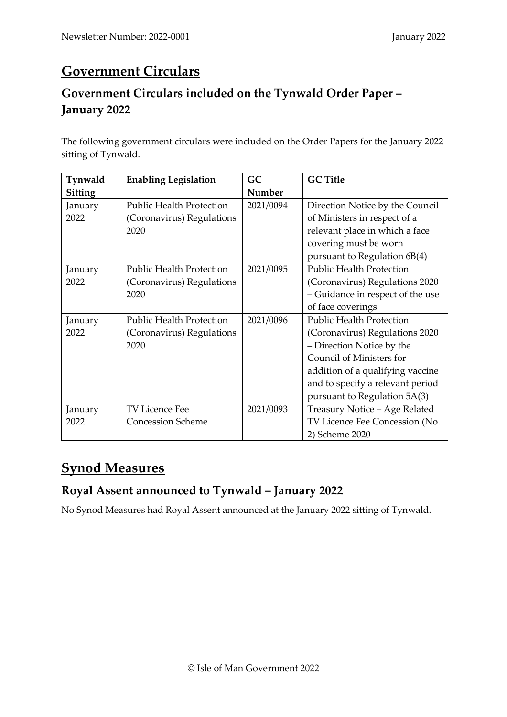# **Government Circulars**

## **Government Circulars included on the Tynwald Order Paper – January 2022**

The following government circulars were included on the Order Papers for the January 2022 sitting of Tynwald.

| Tynwald | <b>Enabling Legislation</b>     | GC        | <b>GC Title</b>                  |
|---------|---------------------------------|-----------|----------------------------------|
| Sitting |                                 | Number    |                                  |
| January | <b>Public Health Protection</b> | 2021/0094 | Direction Notice by the Council  |
| 2022    | (Coronavirus) Regulations       |           | of Ministers in respect of a     |
|         | 2020                            |           | relevant place in which a face   |
|         |                                 |           | covering must be worn            |
|         |                                 |           | pursuant to Regulation 6B(4)     |
| January | <b>Public Health Protection</b> | 2021/0095 | <b>Public Health Protection</b>  |
| 2022    | (Coronavirus) Regulations       |           | (Coronavirus) Regulations 2020   |
|         | 2020                            |           | - Guidance in respect of the use |
|         |                                 |           | of face coverings                |
| January | <b>Public Health Protection</b> | 2021/0096 | <b>Public Health Protection</b>  |
| 2022    | (Coronavirus) Regulations       |           | (Coronavirus) Regulations 2020   |
|         | 2020                            |           | - Direction Notice by the        |
|         |                                 |           | Council of Ministers for         |
|         |                                 |           | addition of a qualifying vaccine |
|         |                                 |           | and to specify a relevant period |
|         |                                 |           | pursuant to Regulation 5A(3)     |
| January | <b>TV Licence Fee</b>           | 2021/0093 | Treasury Notice - Age Related    |
| 2022    | <b>Concession Scheme</b>        |           | TV Licence Fee Concession (No.   |
|         |                                 |           | 2) Scheme 2020                   |

# **Synod Measures**

#### **Royal Assent announced to Tynwald – January 2022**

No Synod Measures had Royal Assent announced at the January 2022 sitting of Tynwald.